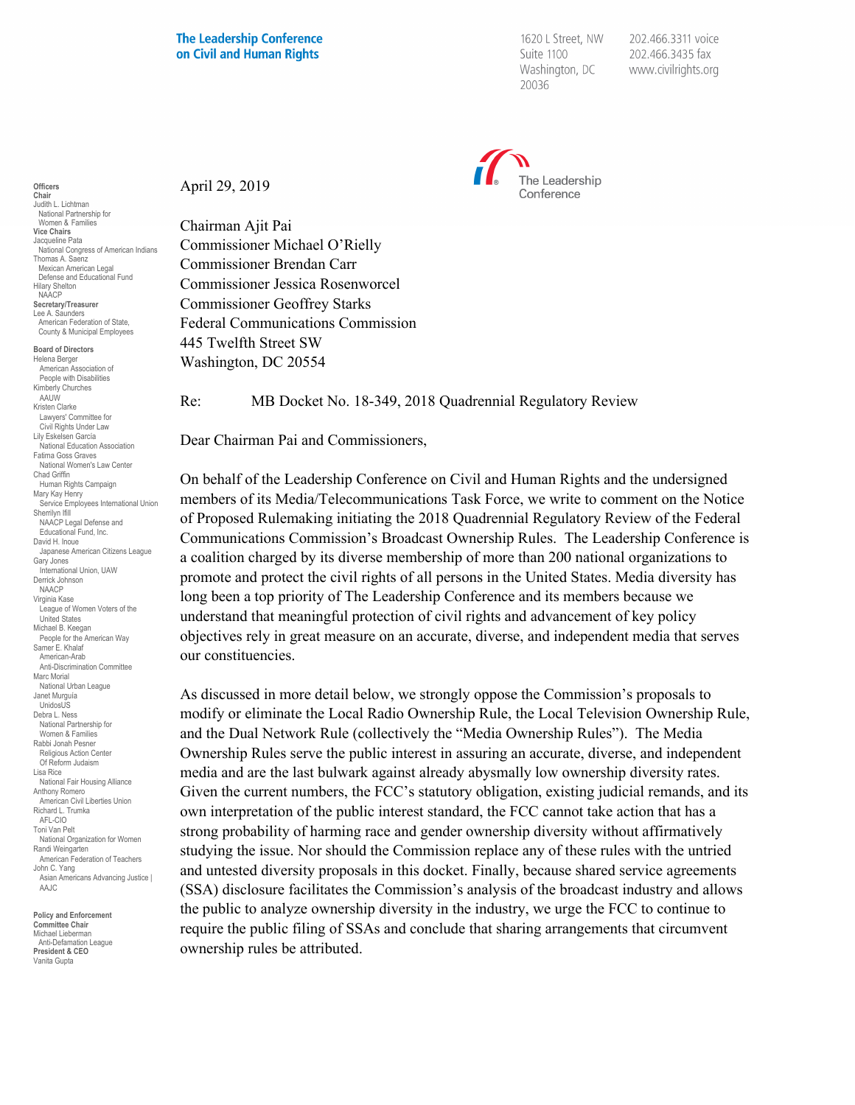1620 L Street, NW Suite 1100 Washington, DC 20036

202.466.3311 voice 202.466.3435 fax www.civilrights.org



April 29, 2019

Chairman Ajit Pai Commissioner Michael O'Rielly Commissioner Brendan Carr Commissioner Jessica Rosenworcel Commissioner Geoffrey Starks Federal Communications Commission 445 Twelfth Street SW Washington, DC 20554

Re: MB Docket No. 18-349, 2018 Quadrennial Regulatory Review

Dear Chairman Pai and Commissioners,

On behalf of the Leadership Conference on Civil and Human Rights and the undersigned members of its Media/Telecommunications Task Force, we write to comment on the Notice of Proposed Rulemaking initiating the 2018 Quadrennial Regulatory Review of the Federal Communications Commission's Broadcast Ownership Rules. The Leadership Conference is a coalition charged by its diverse membership of more than 200 national organizations to promote and protect the civil rights of all persons in the United States. Media diversity has long been a top priority of The Leadership Conference and its members because we understand that meaningful protection of civil rights and advancement of key policy objectives rely in great measure on an accurate, diverse, and independent media that serves our constituencies.

As discussed in more detail below, we strongly oppose the Commission's proposals to modify or eliminate the Local Radio Ownership Rule, the Local Television Ownership Rule, and the Dual Network Rule (collectively the "Media Ownership Rules"). The Media Ownership Rules serve the public interest in assuring an accurate, diverse, and independent media and are the last bulwark against already abysmally low ownership diversity rates. Given the current numbers, the FCC's statutory obligation, existing judicial remands, and its own interpretation of the public interest standard, the FCC cannot take action that has a strong probability of harming race and gender ownership diversity without affirmatively studying the issue. Nor should the Commission replace any of these rules with the untried and untested diversity proposals in this docket. Finally, because shared service agreements (SSA) disclosure facilitates the Commission's analysis of the broadcast industry and allows the public to analyze ownership diversity in the industry, we urge the FCC to continue to require the public filing of SSAs and conclude that sharing arrangements that circumvent ownership rules be attributed.

**NAACP Secretary/Treasurer** Lee A. Saunders American Federation of State, County & Municipal Employees **Board of Directors** Helena Berger American Association of People with Disabilities Kimberly Churches AAUW Kristen Clarke Lawyers' Committee for Civil Rights Under Law Lily Eskelsen García National Education Association Fatima Goss Graves National Women's Law Center Chad Griffin Human Rights Campaign Mary Kay Henry Service Employees International Union Sherrilyn Ifill NAACP Legal Defense and Educational Fund, Inc. David H. Inoue Japanese American Citizens League Gary Jones International Union, UAW Derrick Johnson **NAACP** Virginia Kase League of Women Voters of the United States Michael B. Keegan People for the American Way Samer E. Khalaf American-Arab Anti-Discrimination Committee Marc Morial National Urban League Janet Murguía UnidosUS Debra L. Ness National Partnership for Women & Families Rabbi Jonah Pesner Religious Action Center Of Reform Judaism Lisa Rice National Fair Housing Alliance Anthony Romero American Civil Liberties Union Richard L. Trumka AFL-CIO Toni Van Pelt National Organization for Women Randi Weingarten American Federation of Teachers John C. Yang Asian Americans Advancing Justice | AAJC **Policy and Enforcement Committee Chair**

**Officers Chair** Judith L. Lichtman National Partnership for Women & Families **Vice Chairs** Jacqueline Pata

Hilary Shelton

National Congress of American Indians Thomas A. Saenz Mexican American Legal Defense and Educational Fund

Michael Lieberman Anti-Defamation League **President & CEO** Vanita Gupta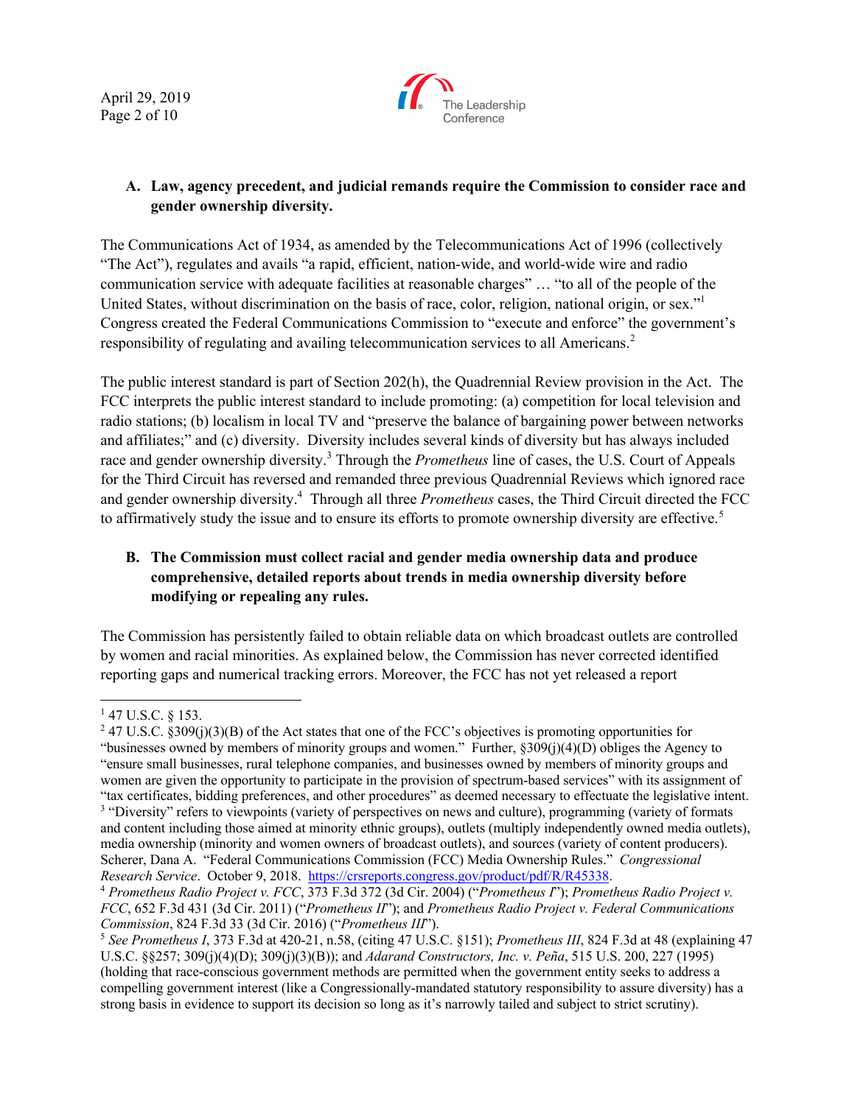April 29, 2019 Page 2 of 10



# **A. Law, agency precedent, and judicial remands require the Commission to consider race and gender ownership diversity.**

The Communications Act of 1934, as amended by the Telecommunications Act of 1996 (collectively "The Act"), regulates and avails "a rapid, efficient, nation-wide, and world-wide wire and radio communication service with adequate facilities at reasonable charges" … "to all of the people of the United States, without discrimination on the basis of race, color, religion, national origin, or sex." Congress created the Federal Communications Commission to "execute and enforce" the government's responsibility of regulating and availing telecommunication services to all Americans.<sup>2</sup>

The public interest standard is part of Section 202(h), the Quadrennial Review provision in the Act. The FCC interprets the public interest standard to include promoting: (a) competition for local television and radio stations; (b) localism in local TV and "preserve the balance of bargaining power between networks and affiliates;" and (c) diversity. Diversity includes several kinds of diversity but has always included race and gender ownership diversity.<sup>3</sup> Through the *Prometheus* line of cases, the U.S. Court of Appeals for the Third Circuit has reversed and remanded three previous Quadrennial Reviews which ignored race and gender ownership diversity.<sup>4</sup> Through all three *Prometheus* cases, the Third Circuit directed the FCC to affirmatively study the issue and to ensure its efforts to promote ownership diversity are effective.<sup>5</sup>

# **B. The Commission must collect racial and gender media ownership data and produce comprehensive, detailed reports about trends in media ownership diversity before modifying or repealing any rules.**

The Commission has persistently failed to obtain reliable data on which broadcast outlets are controlled by women and racial minorities. As explained below, the Commission has never corrected identified reporting gaps and numerical tracking errors. Moreover, the FCC has not yet released a report

<sup>1</sup> 47 U.S.C. § 153.<br><sup>2</sup> 47 U.S.C. §309(j)(3)(B) of the Act states that one of the FCC's objectives is promoting opportunities for "businesses owned by members of minority groups and women." Further, §309(j)(4)(D) obliges the Agency to "ensure small businesses, rural telephone companies, and businesses owned by members of minority groups and women are given the opportunity to participate in the provision of spectrum-based services" with its assignment of "tax certificates, bidding preferences, and other procedures" as deemed necessary to effectuate the legislative intent. <sup>3</sup> "Diversity" refers to viewpoints (variety of perspectives on news and culture), programming (variety of formats and content including those aimed at minority ethnic groups), outlets (multiply independently owned media outlets), media ownership (minority and women owners of broadcast outlets), and sources (variety of content producers). Scherer, Dana A. "Federal Communications Commission (FCC) Media Ownership Rules." *Congressional* 

Research Service. October 9, 2018. https://crsreports.congress.gov/product/pdf/R/R45338.<br><sup>4</sup> Prometheus Radio Project v. FCC, 373 F.3d 372 (3d Cir. 2004) ("Prometheus I"); Prometheus Radio Project v. *FCC*, 652 F.3d 431 (3d Cir. 2011) ("*Prometheus II*"); and *Prometheus Radio Project v. Federal Communications Commission*, 824 F.3d 33 (3d Cir. 2016) ("*Prometheus III*").

<sup>5</sup> *See Prometheus I*, 373 F.3d at 420-21, n.58, (citing 47 U.S.C. §151); *Prometheus III*, 824 F.3d at 48 (explaining 47 U.S.C. §§257; 309(j)(4)(D); 309(j)(3)(B)); and *Adarand Constructors, Inc. v. Peña*, 515 U.S. 200, 227 (1995) (holding that race-conscious government methods are permitted when the government entity seeks to address a compelling government interest (like a Congressionally-mandated statutory responsibility to assure diversity) has a strong basis in evidence to support its decision so long as it's narrowly tailed and subject to strict scrutiny).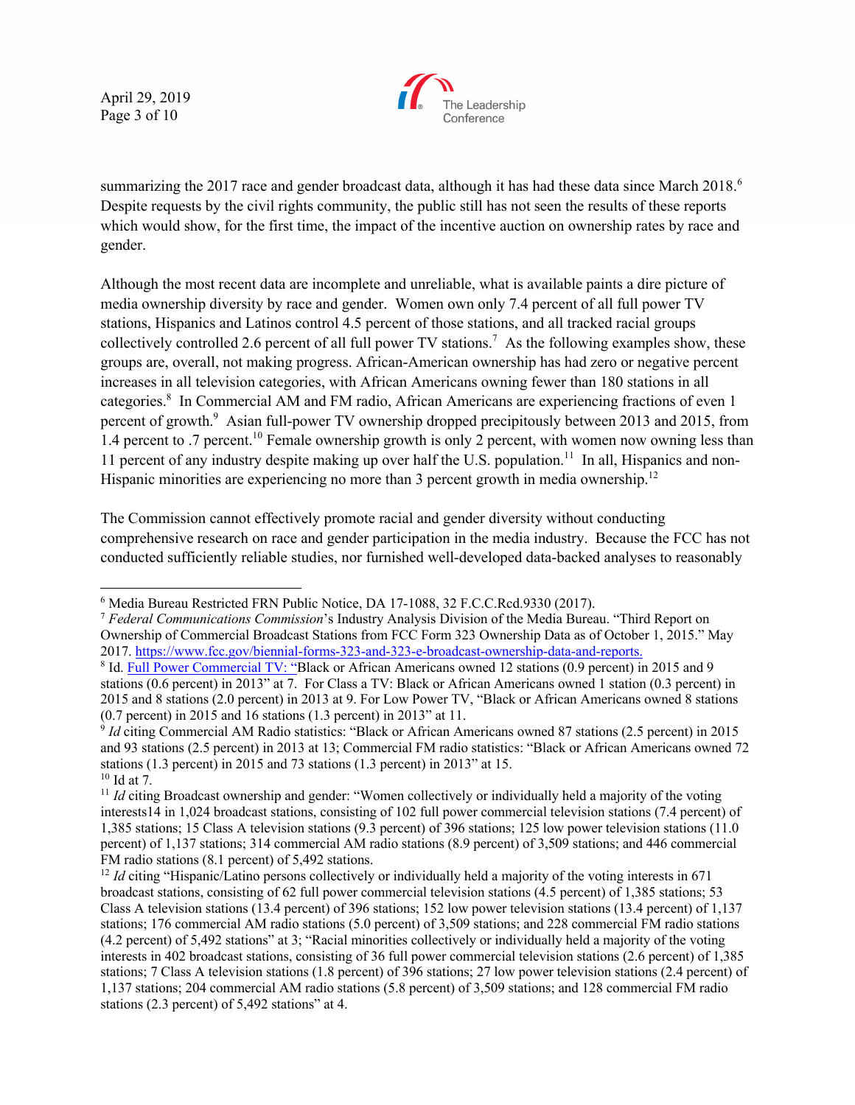April 29, 2019 Page 3 of 10



summarizing the 2017 race and gender broadcast data, although it has had these data since March 2018.<sup>6</sup> Despite requests by the civil rights community, the public still has not seen the results of these reports which would show, for the first time, the impact of the incentive auction on ownership rates by race and gender.

Although the most recent data are incomplete and unreliable, what is available paints a dire picture of media ownership diversity by race and gender. Women own only 7.4 percent of all full power TV stations, Hispanics and Latinos control 4.5 percent of those stations, and all tracked racial groups collectively controlled 2.6 percent of all full power TV stations.<sup>7</sup> As the following examples show, these groups are, overall, not making progress. African-American ownership has had zero or negative percent increases in all television categories, with African Americans owning fewer than 180 stations in all categories. 8 In Commercial AM and FM radio, African Americans are experiencing fractions of even 1 percent of growth.<sup>9</sup> Asian full-power TV ownership dropped precipitously between 2013 and 2015, from 1.4 percent to .7 percent.<sup>10</sup> Female ownership growth is only 2 percent, with women now owning less than 11 percent of any industry despite making up over half the U.S. population.<sup>11</sup> In all, Hispanics and non-Hispanic minorities are experiencing no more than 3 percent growth in media ownership.<sup>12</sup>

The Commission cannot effectively promote racial and gender diversity without conducting comprehensive research on race and gender participation in the media industry. Because the FCC has not conducted sufficiently reliable studies, nor furnished well-developed data-backed analyses to reasonably

 <sup>6</sup> Media Bureau Restricted FRN Public Notice, DA 17-1088, 32 F.C.C.Rcd.9330 (2017).

<sup>7</sup> *Federal Communications Commission*'s Industry Analysis Division of the Media Bureau. "Third Report on Ownership of Commercial Broadcast Stations from FCC Form 323 Ownership Data as of October 1, 2015." May 2017. https://www.fcc.gov/biennial-forms-323-and-323-e-broadcast-ownership-data-and-reports.

<sup>8</sup> Id. Full Power Commercial TV: "Black or African Americans owned 12 stations (0.9 percent) in 2015 and 9 stations (0.6 percent) in 2013" at 7. For Class a TV: Black or African Americans owned 1 station (0.3 percent) in 2015 and 8 stations (2.0 percent) in 2013 at 9. For Low Power TV, "Black or African Americans owned 8 stations (0.7 percent) in 2015 and 16 stations (1.3 percent) in 2013" at 11.

<sup>9</sup> *Id* citing Commercial AM Radio statistics: "Black or African Americans owned 87 stations (2.5 percent) in 2015 and 93 stations (2.5 percent) in 2013 at 13; Commercial FM radio statistics: "Black or African Americans owned 72 stations (1.3 percent) in 2015 and 73 stations (1.3 percent) in 2013" at 15.  $10$  Id at 7.

<sup>&</sup>lt;sup>11</sup> *Id* citing Broadcast ownership and gender: "Women collectively or individually held a majority of the voting interests14 in 1,024 broadcast stations, consisting of 102 full power commercial television stations (7.4 percent) of 1,385 stations; 15 Class A television stations (9.3 percent) of 396 stations; 125 low power television stations (11.0 percent) of 1,137 stations; 314 commercial AM radio stations (8.9 percent) of 3,509 stations; and 446 commercial FM radio stations (8.1 percent) of 5,492 stations.

<sup>&</sup>lt;sup>12</sup> *Id* citing "Hispanic/Latino persons collectively or individually held a majority of the voting interests in 671 broadcast stations, consisting of 62 full power commercial television stations (4.5 percent) of 1,385 stations; 53 Class A television stations (13.4 percent) of 396 stations; 152 low power television stations (13.4 percent) of 1,137 stations; 176 commercial AM radio stations (5.0 percent) of 3,509 stations; and 228 commercial FM radio stations (4.2 percent) of 5,492 stations" at 3; "Racial minorities collectively or individually held a majority of the voting interests in 402 broadcast stations, consisting of 36 full power commercial television stations (2.6 percent) of 1,385 stations; 7 Class A television stations (1.8 percent) of 396 stations; 27 low power television stations (2.4 percent) of 1,137 stations; 204 commercial AM radio stations (5.8 percent) of 3,509 stations; and 128 commercial FM radio stations (2.3 percent) of 5,492 stations" at 4.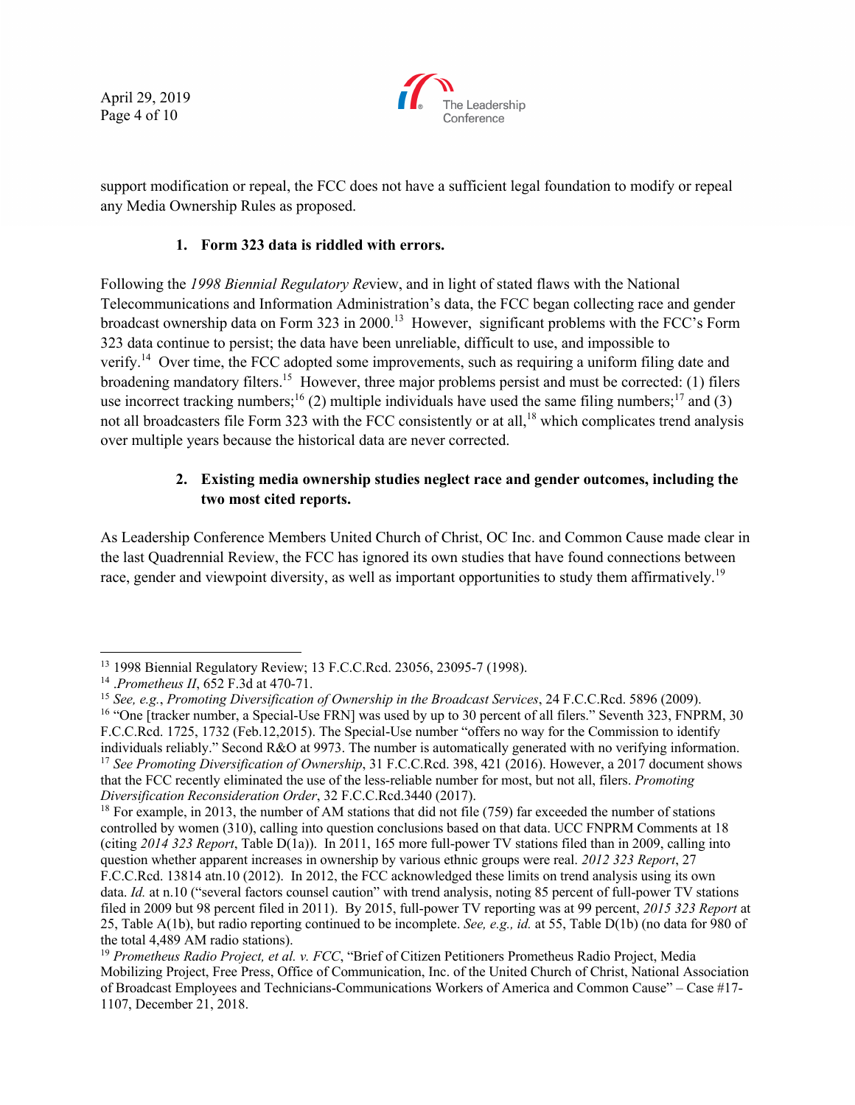April 29, 2019 Page 4 of 10



support modification or repeal, the FCC does not have a sufficient legal foundation to modify or repeal any Media Ownership Rules as proposed.

### **1. Form 323 data is riddled with errors.**

Following the *1998 Biennial Regulatory Re*view, and in light of stated flaws with the National Telecommunications and Information Administration's data, the FCC began collecting race and gender broadcast ownership data on Form 323 in 2000.<sup>13</sup> However, significant problems with the FCC's Form 323 data continue to persist; the data have been unreliable, difficult to use, and impossible to verify.<sup>14</sup> Over time, the FCC adopted some improvements, such as requiring a uniform filing date and broadening mandatory filters.15 However, three major problems persist and must be corrected: (1) filers use incorrect tracking numbers;<sup>16</sup> (2) multiple individuals have used the same filing numbers;<sup>17</sup> and (3) not all broadcasters file Form 323 with the FCC consistently or at all,<sup>18</sup> which complicates trend analysis over multiple years because the historical data are never corrected.

## **2. Existing media ownership studies neglect race and gender outcomes, including the two most cited reports.**

As Leadership Conference Members United Church of Christ, OC Inc. and Common Cause made clear in the last Quadrennial Review, the FCC has ignored its own studies that have found connections between race, gender and viewpoint diversity, as well as important opportunities to study them affirmatively.<sup>19</sup>

 <sup>13</sup> 1998 Biennial Regulatory Review; 13 F.C.C.Rcd. 23056, 23095-7 (1998).

<sup>14</sup> .*Prometheus II*, 652 F.3d at 470-71.

<sup>15</sup> *See, e.g.*, *Promoting Diversification of Ownership in the Broadcast Services*, 24 F.C.C.Rcd. 5896 (2009). <sup>16</sup> "One [tracker number, a Special-Use FRN] was used by up to 30 percent of all filers." Seventh 323, FNPRM, 30 F.C.C.Rcd. 1725, 1732 (Feb.12,2015). The Special-Use number "offers no way for the Commission to identify individuals reliably." Second R&O at 9973. The number is automatically generated with no verifying information. <sup>17</sup> *See Promoting Diversification of Ownership*, 31 F.C.C.Rcd. 398, 421 (2016). However, a 2017 document shows that the FCC recently eliminated the use of the less-reliable number for most, but not all, filers. *Promoting Diversification Reconsideration Order*, 32 F.C.C.Rcd.3440 (2017).

<sup>&</sup>lt;sup>18</sup> For example, in 2013, the number of AM stations that did not file (759) far exceeded the number of stations controlled by women (310), calling into question conclusions based on that data. UCC FNPRM Comments at 18 (citing *2014 323 Report*, Table D(1a)). In 2011, 165 more full-power TV stations filed than in 2009, calling into question whether apparent increases in ownership by various ethnic groups were real. *2012 323 Report*, 27 F.C.C.Rcd. 13814 atn.10 (2012). In 2012, the FCC acknowledged these limits on trend analysis using its own data. *Id.* at n.10 ("several factors counsel caution" with trend analysis, noting 85 percent of full-power TV stations filed in 2009 but 98 percent filed in 2011). By 2015, full-power TV reporting was at 99 percent, *2015 323 Report* at 25, Table A(1b), but radio reporting continued to be incomplete. *See, e.g., id.* at 55, Table D(1b) (no data for 980 of the total 4,489 AM radio stations).

<sup>19</sup> *Prometheus Radio Project, et al. v. FCC*, "Brief of Citizen Petitioners Prometheus Radio Project, Media Mobilizing Project, Free Press, Office of Communication, Inc. of the United Church of Christ, National Association of Broadcast Employees and Technicians-Communications Workers of America and Common Cause" – Case #17- 1107, December 21, 2018.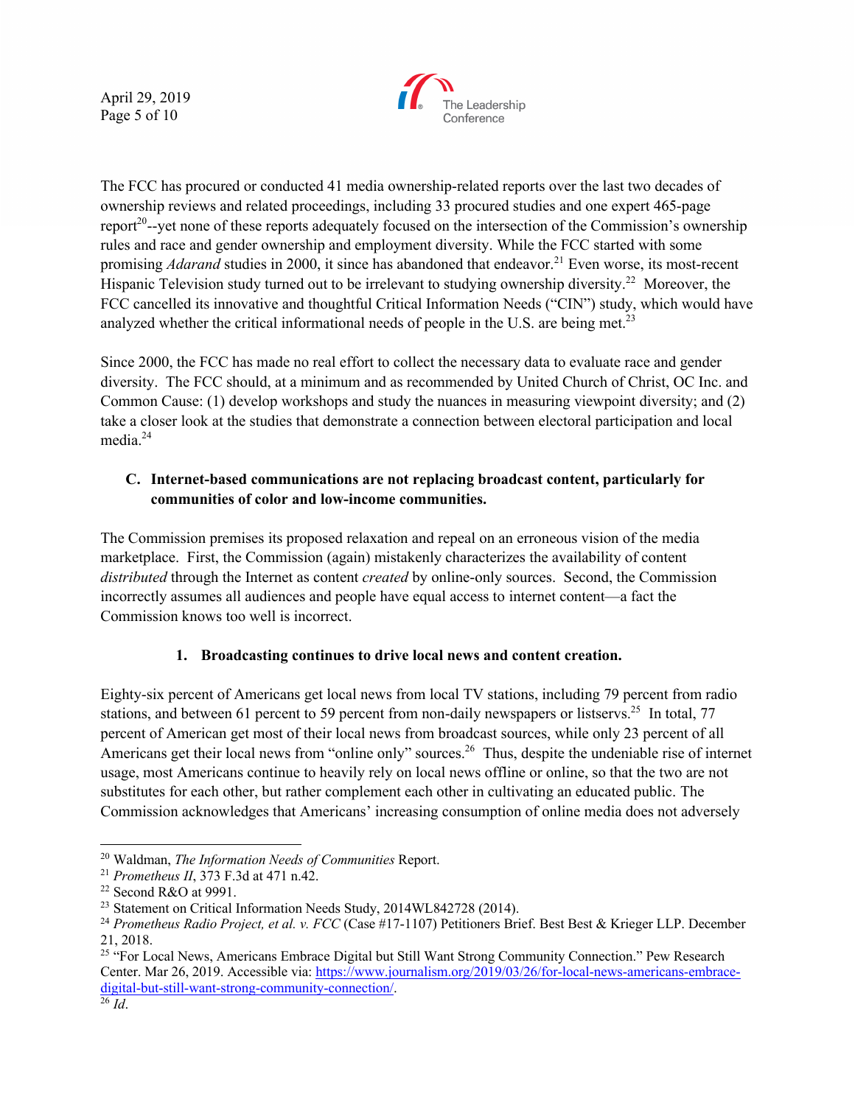April 29, 2019 Page 5 of 10



The FCC has procured or conducted 41 media ownership-related reports over the last two decades of ownership reviews and related proceedings, including 33 procured studies and one expert 465-page report<sup>20</sup>--yet none of these reports adequately focused on the intersection of the Commission's ownership rules and race and gender ownership and employment diversity. While the FCC started with some promising *Adarand* studies in 2000, it since has abandoned that endeavor.<sup>21</sup> Even worse, its most-recent Hispanic Television study turned out to be irrelevant to studying ownership diversity.<sup>22</sup> Moreover, the FCC cancelled its innovative and thoughtful Critical Information Needs ("CIN") study, which would have analyzed whether the critical informational needs of people in the U.S. are being met.<sup>23</sup>

Since 2000, the FCC has made no real effort to collect the necessary data to evaluate race and gender diversity. The FCC should, at a minimum and as recommended by United Church of Christ, OC Inc. and Common Cause: (1) develop workshops and study the nuances in measuring viewpoint diversity; and (2) take a closer look at the studies that demonstrate a connection between electoral participation and local media.<sup>24</sup>

# **C. Internet-based communications are not replacing broadcast content, particularly for communities of color and low-income communities.**

The Commission premises its proposed relaxation and repeal on an erroneous vision of the media marketplace. First, the Commission (again) mistakenly characterizes the availability of content *distributed* through the Internet as content *created* by online-only sources. Second, the Commission incorrectly assumes all audiences and people have equal access to internet content—a fact the Commission knows too well is incorrect.

# **1. Broadcasting continues to drive local news and content creation.**

Eighty-six percent of Americans get local news from local TV stations, including 79 percent from radio stations, and between 61 percent to 59 percent from non-daily newspapers or listservs.<sup>25</sup> In total, 77 percent of American get most of their local news from broadcast sources, while only 23 percent of all Americans get their local news from "online only" sources.<sup>26</sup> Thus, despite the undeniable rise of internet usage, most Americans continue to heavily rely on local news offline or online, so that the two are not substitutes for each other, but rather complement each other in cultivating an educated public. The Commission acknowledges that Americans' increasing consumption of online media does not adversely

 <sup>20</sup> Waldman, *The Information Needs of Communities* Report.

<sup>21</sup> *Prometheus II*, 373 F.3d at 471 n.42.

<sup>22</sup> Second R&O at 9991.

<sup>&</sup>lt;sup>23</sup> Statement on Critical Information Needs Study, 2014WL842728 (2014).

<sup>&</sup>lt;sup>24</sup> *Prometheus Radio Project, et al. v. FCC* (Case #17-1107) Petitioners Brief. Best Best & Krieger LLP. December 21, 2018.

<sup>&</sup>lt;sup>25</sup> "For Local News, Americans Embrace Digital but Still Want Strong Community Connection." Pew Research Center. Mar 26, 2019. Accessible via: https://www.journalism.org/2019/03/26/for-local-news-americans-embracedigital-but-still-want-strong-community-connection/. 26 *Id*.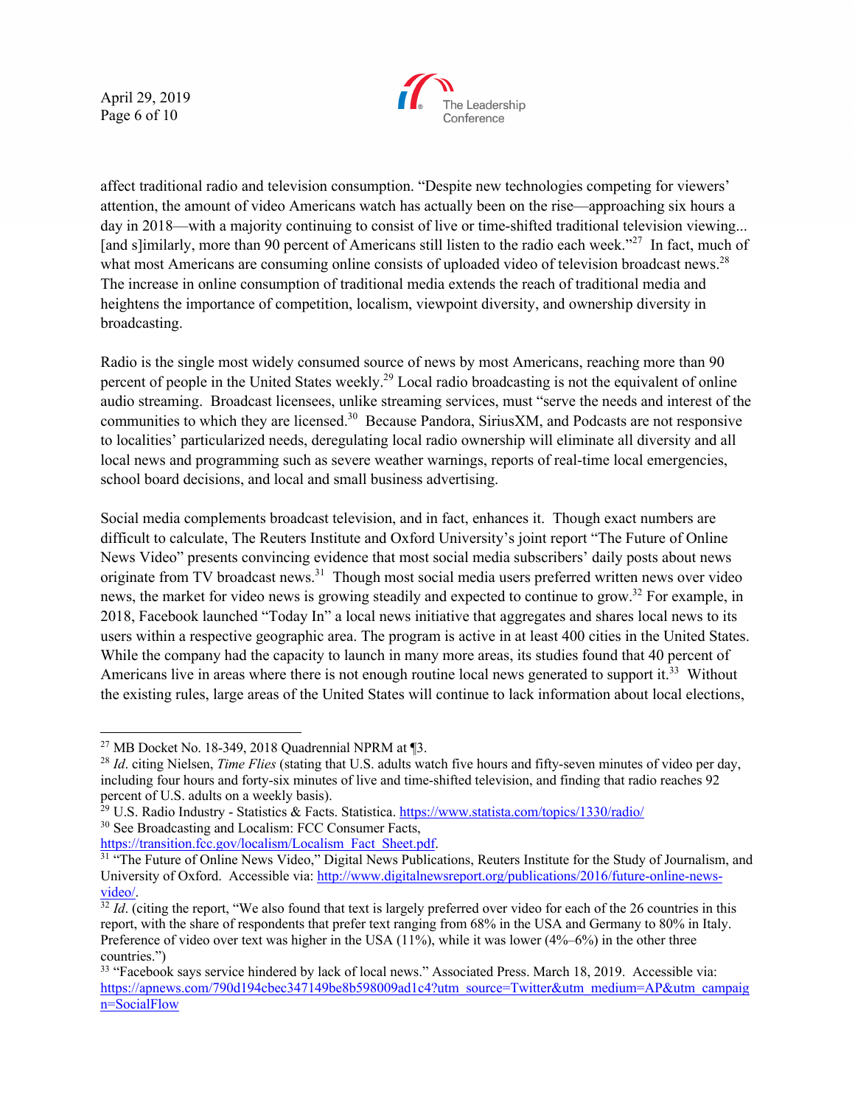April 29, 2019 Page 6 of 10



affect traditional radio and television consumption. "Despite new technologies competing for viewers' attention, the amount of video Americans watch has actually been on the rise—approaching six hours a day in 2018—with a majority continuing to consist of live or time-shifted traditional television viewing... [and s]imilarly, more than 90 percent of Americans still listen to the radio each week."<sup>27</sup> In fact, much of what most Americans are consuming online consists of uploaded video of television broadcast news.<sup>28</sup> The increase in online consumption of traditional media extends the reach of traditional media and heightens the importance of competition, localism, viewpoint diversity, and ownership diversity in broadcasting.

Radio is the single most widely consumed source of news by most Americans, reaching more than 90 percent of people in the United States weekly.<sup>29</sup> Local radio broadcasting is not the equivalent of online audio streaming. Broadcast licensees, unlike streaming services, must "serve the needs and interest of the communities to which they are licensed.30 Because Pandora, SiriusXM, and Podcasts are not responsive to localities' particularized needs, deregulating local radio ownership will eliminate all diversity and all local news and programming such as severe weather warnings, reports of real-time local emergencies, school board decisions, and local and small business advertising.

Social media complements broadcast television, and in fact, enhances it. Though exact numbers are difficult to calculate, The Reuters Institute and Oxford University's joint report "The Future of Online News Video" presents convincing evidence that most social media subscribers' daily posts about news originate from TV broadcast news.<sup>31</sup> Though most social media users preferred written news over video news, the market for video news is growing steadily and expected to continue to grow.<sup>32</sup> For example, in 2018, Facebook launched "Today In" a local news initiative that aggregates and shares local news to its users within a respective geographic area. The program is active in at least 400 cities in the United States. While the company had the capacity to launch in many more areas, its studies found that 40 percent of Americans live in areas where there is not enough routine local news generated to support it.<sup>33</sup> Without the existing rules, large areas of the United States will continue to lack information about local elections,

https://transition.fcc.gov/localism/Localism\_Fact\_Sheet.pdf.

<sup>&</sup>lt;sup>27</sup> MB Docket No. 18-349, 2018 Quadrennial NPRM at  $\P$ 3.

<sup>28</sup> *Id*. citing Nielsen, *Time Flies* (stating that U.S. adults watch five hours and fifty-seven minutes of video per day, including four hours and forty-six minutes of live and time-shifted television, and finding that radio reaches 92 percent of U.S. adults on a weekly basis).

<sup>&</sup>lt;sup>29</sup> U.S. Radio Industry - Statistics & Facts. Statistica. https://www.statista.com/topics/1330/radio/ <sup>30</sup> See Broadcasting and Localism: FCC Consumer Facts,

<sup>&</sup>lt;sup>31</sup> "The Future of Online News Video," Digital News Publications, Reuters Institute for the Study of Journalism, and University of Oxford. Accessible via: http://www.digitalnewsreport.org/publications/2016/future-online-newsvideo/.

 $\frac{32}{14}$ . (citing the report, "We also found that text is largely preferred over video for each of the 26 countries in this report, with the share of respondents that prefer text ranging from 68% in the USA and Germany to 80% in Italy. Preference of video over text was higher in the USA (11%), while it was lower (4%–6%) in the other three countries.")

<sup>&</sup>lt;sup>33</sup> "Facebook says service hindered by lack of local news." Associated Press. March 18, 2019. Accessible via: https://apnews.com/790d194cbec347149be8b598009ad1c4?utm\_source=Twitter&utm\_medium=AP&utm\_campaig n=SocialFlow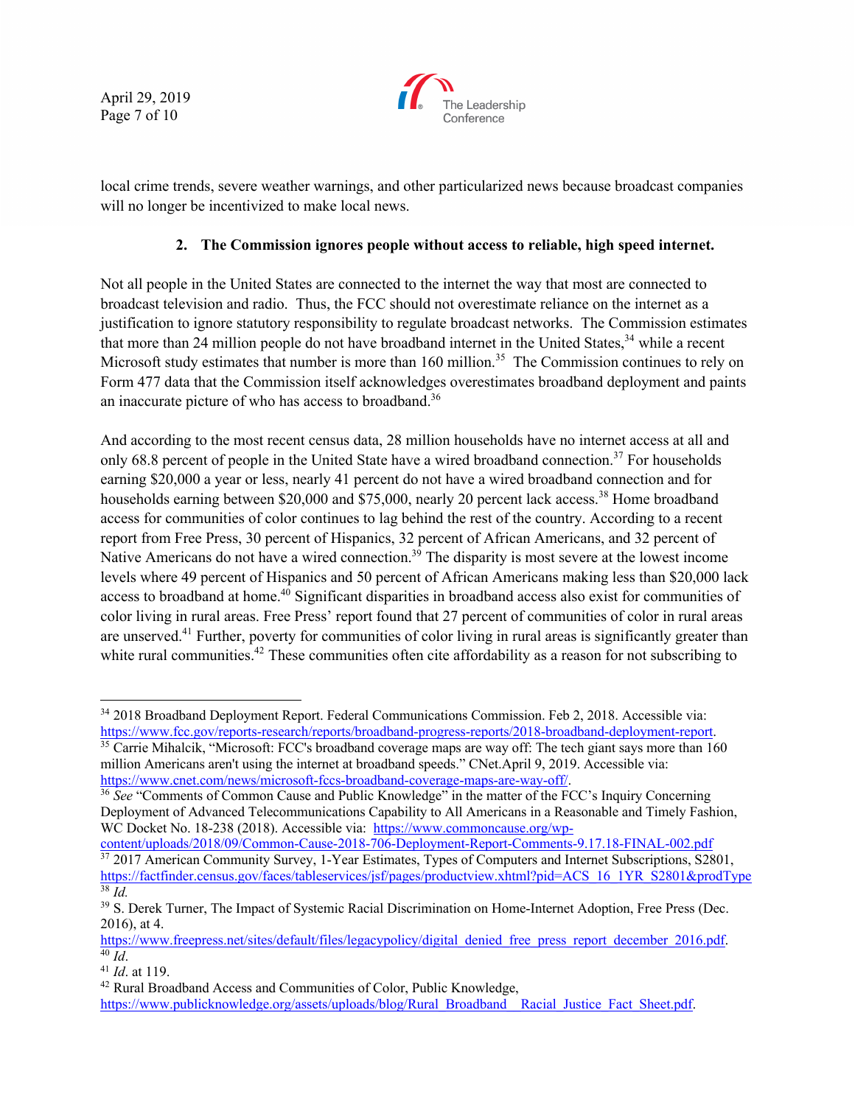April 29, 2019 Page 7 of 10



local crime trends, severe weather warnings, and other particularized news because broadcast companies will no longer be incentivized to make local news.

### **2. The Commission ignores people without access to reliable, high speed internet.**

Not all people in the United States are connected to the internet the way that most are connected to broadcast television and radio. Thus, the FCC should not overestimate reliance on the internet as a justification to ignore statutory responsibility to regulate broadcast networks. The Commission estimates that more than 24 million people do not have broadband internet in the United States,<sup>34</sup> while a recent Microsoft study estimates that number is more than 160 million.<sup>35</sup> The Commission continues to rely on Form 477 data that the Commission itself acknowledges overestimates broadband deployment and paints an inaccurate picture of who has access to broadband.36

And according to the most recent census data, 28 million households have no internet access at all and only 68.8 percent of people in the United State have a wired broadband connection.<sup>37</sup> For households earning \$20,000 a year or less, nearly 41 percent do not have a wired broadband connection and for households earning between \$20,000 and \$75,000, nearly 20 percent lack access.<sup>38</sup> Home broadband access for communities of color continues to lag behind the rest of the country. According to a recent report from Free Press, 30 percent of Hispanics, 32 percent of African Americans, and 32 percent of Native Americans do not have a wired connection.<sup>39</sup> The disparity is most severe at the lowest income levels where 49 percent of Hispanics and 50 percent of African Americans making less than \$20,000 lack access to broadband at home.<sup>40</sup> Significant disparities in broadband access also exist for communities of color living in rural areas. Free Press' report found that 27 percent of communities of color in rural areas are unserved.41 Further, poverty for communities of color living in rural areas is significantly greater than white rural communities.<sup>42</sup> These communities often cite affordability as a reason for not subscribing to

content/uploads/2018/09/Common-Cause-2018-706-Deployment-Report-Comments-9.17.18-FINAL-002.pdf <sup>37</sup> 2017 American Community Survey, 1-Year Estimates, Types of Computers and Internet Subscriptions, S2801, https://factfinder.census.gov/faces/tableservices/jsf/pages/productview.xhtml?pid=ACS\_16\_1YR\_S2801&prodType <sup>38</sup> *Id.*

<sup>&</sup>lt;sup>34</sup> 2018 Broadband Deployment Report. Federal Communications Commission. Feb 2, 2018. Accessible via:<br>https://www.fcc.gov/reports-research/reports/broadband-progress-reports/2018-broadband-deployment-report.

 $\frac{35}{15}$  Carrie Mihalcik, "Microsoft: FCC's broadband coverage maps are way off: The tech giant says more than 160 million Americans aren't using the internet at broadband speeds." CNet.April 9, 2019. Accessible via:<br>https://www.cnet.com/news/microsoft-fccs-broadband-coverage-maps-are-way-off/.

<sup>&</sup>lt;sup>36</sup> See "Comments of Common Cause and Public Knowledge" in the matter of the FCC's Inquiry Concerning Deployment of Advanced Telecommunications Capability to All Americans in a Reasonable and Timely Fashion, WC Docket No. 18-238 (2018). Accessible via: https://www.commoncause.org/wp-

<sup>&</sup>lt;sup>39</sup> S. Derek Turner, The Impact of Systemic Racial Discrimination on Home-Internet Adoption, Free Press (Dec. 2016), at 4.

https://www.freepress.net/sites/default/files/legacypolicy/digital\_denied\_free\_press\_report\_december\_2016.pdf.<br><sup>40</sup> Id.

<sup>40</sup> *Id*. 41 *Id*. at 119.

<sup>&</sup>lt;sup>42</sup> Rural Broadband Access and Communities of Color, Public Knowledge, https://www.publicknowledge.org/assets/uploads/blog/Rural\_Broadband\_\_Racial\_Justice\_Fact\_Sheet.pdf.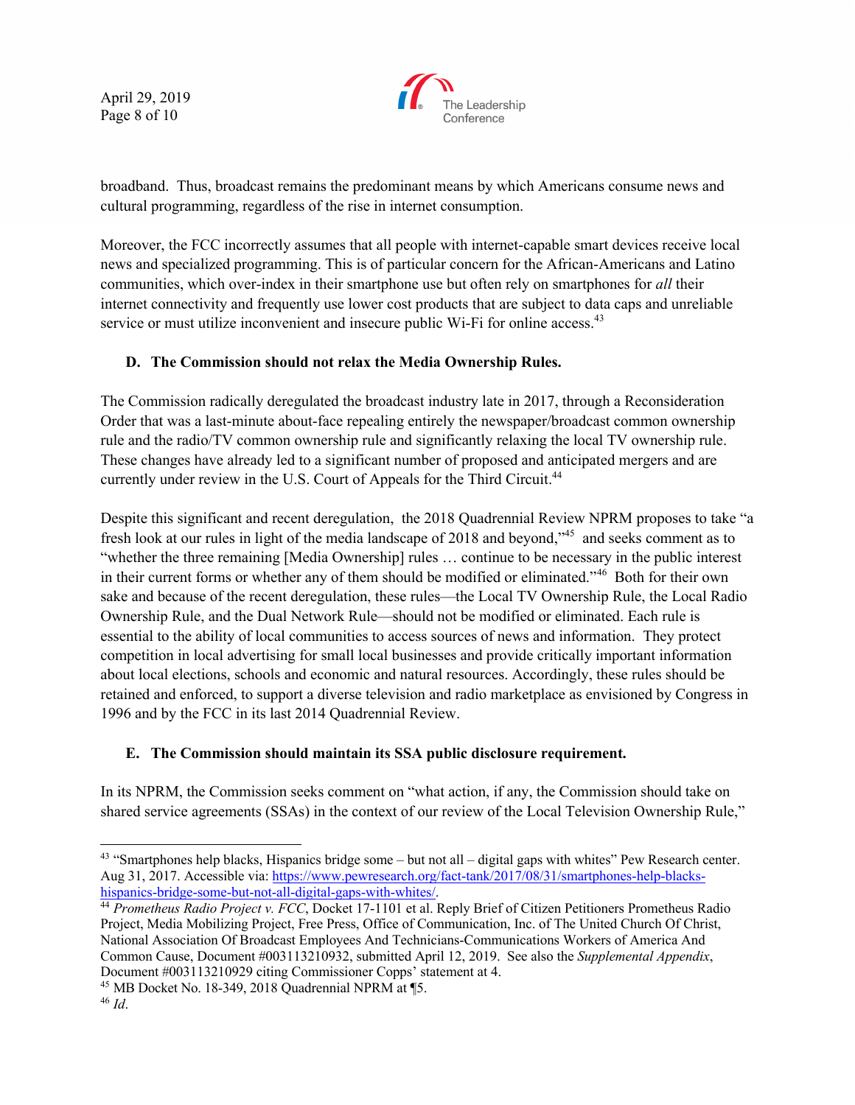April 29, 2019 Page 8 of 10



broadband. Thus, broadcast remains the predominant means by which Americans consume news and cultural programming, regardless of the rise in internet consumption.

Moreover, the FCC incorrectly assumes that all people with internet-capable smart devices receive local news and specialized programming. This is of particular concern for the African-Americans and Latino communities, which over-index in their smartphone use but often rely on smartphones for *all* their internet connectivity and frequently use lower cost products that are subject to data caps and unreliable service or must utilize inconvenient and insecure public Wi-Fi for online access.<sup>43</sup>

### **D. The Commission should not relax the Media Ownership Rules.**

The Commission radically deregulated the broadcast industry late in 2017, through a Reconsideration Order that was a last-minute about-face repealing entirely the newspaper/broadcast common ownership rule and the radio/TV common ownership rule and significantly relaxing the local TV ownership rule. These changes have already led to a significant number of proposed and anticipated mergers and are currently under review in the U.S. Court of Appeals for the Third Circuit.<sup>44</sup>

Despite this significant and recent deregulation, the 2018 Quadrennial Review NPRM proposes to take "a fresh look at our rules in light of the media landscape of 2018 and beyond,"45 and seeks comment as to "whether the three remaining [Media Ownership] rules … continue to be necessary in the public interest in their current forms or whether any of them should be modified or eliminated."<sup>46</sup> Both for their own sake and because of the recent deregulation, these rules—the Local TV Ownership Rule, the Local Radio Ownership Rule, and the Dual Network Rule—should not be modified or eliminated. Each rule is essential to the ability of local communities to access sources of news and information. They protect competition in local advertising for small local businesses and provide critically important information about local elections, schools and economic and natural resources. Accordingly, these rules should be retained and enforced, to support a diverse television and radio marketplace as envisioned by Congress in 1996 and by the FCC in its last 2014 Quadrennial Review.

# **E. The Commission should maintain its SSA public disclosure requirement.**

In its NPRM, the Commission seeks comment on "what action, if any, the Commission should take on shared service agreements (SSAs) in the context of our review of the Local Television Ownership Rule,"

<sup>43 &</sup>quot;Smartphones help blacks, Hispanics bridge some – but not all – digital gaps with whites" Pew Research center. Aug 31, 2017. Accessible via: https://www.pewresearch.org/fact-tank/2017/08/31/smartphones-help-blackshispanics-bridge-some-but-not-all-digital-gaps-with-whites/.

<sup>44</sup> *Prometheus Radio Project v. FCC*, Docket 17-1101 et al. Reply Brief of Citizen Petitioners Prometheus Radio Project, Media Mobilizing Project, Free Press, Office of Communication, Inc. of The United Church Of Christ, National Association Of Broadcast Employees And Technicians-Communications Workers of America And Common Cause, Document #003113210932, submitted April 12, 2019. See also the *Supplemental Appendix*, Document #003113210929 citing Commissioner Copps' statement at 4.

<sup>45</sup> MB Docket No. 18-349, 2018 Quadrennial NPRM at ¶5.

<sup>46</sup> *Id*.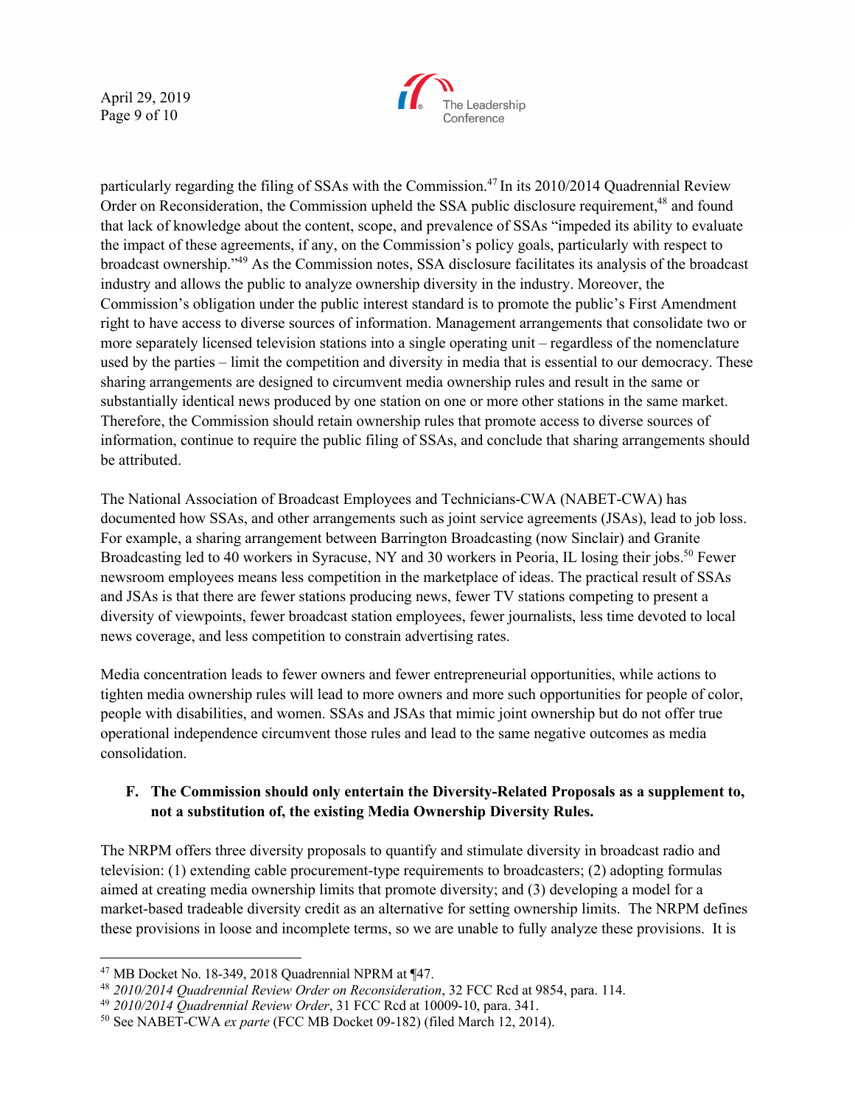April 29, 2019 Page 9 of 10



particularly regarding the filing of SSAs with the Commission.<sup>47</sup> In its 2010/2014 Quadrennial Review Order on Reconsideration, the Commission upheld the SSA public disclosure requirement,<sup>48</sup> and found that lack of knowledge about the content, scope, and prevalence of SSAs "impeded its ability to evaluate the impact of these agreements, if any, on the Commission's policy goals, particularly with respect to broadcast ownership."<sup>49</sup> As the Commission notes, SSA disclosure facilitates its analysis of the broadcast industry and allows the public to analyze ownership diversity in the industry. Moreover, the Commission's obligation under the public interest standard is to promote the public's First Amendment right to have access to diverse sources of information. Management arrangements that consolidate two or more separately licensed television stations into a single operating unit – regardless of the nomenclature used by the parties – limit the competition and diversity in media that is essential to our democracy. These sharing arrangements are designed to circumvent media ownership rules and result in the same or substantially identical news produced by one station on one or more other stations in the same market. Therefore, the Commission should retain ownership rules that promote access to diverse sources of information, continue to require the public filing of SSAs, and conclude that sharing arrangements should be attributed.

The National Association of Broadcast Employees and Technicians-CWA (NABET-CWA) has documented how SSAs, and other arrangements such as joint service agreements (JSAs), lead to job loss. For example, a sharing arrangement between Barrington Broadcasting (now Sinclair) and Granite Broadcasting led to 40 workers in Syracuse, NY and 30 workers in Peoria, IL losing their jobs.<sup>50</sup> Fewer newsroom employees means less competition in the marketplace of ideas. The practical result of SSAs and JSAs is that there are fewer stations producing news, fewer TV stations competing to present a diversity of viewpoints, fewer broadcast station employees, fewer journalists, less time devoted to local news coverage, and less competition to constrain advertising rates.

Media concentration leads to fewer owners and fewer entrepreneurial opportunities, while actions to tighten media ownership rules will lead to more owners and more such opportunities for people of color, people with disabilities, and women. SSAs and JSAs that mimic joint ownership but do not offer true operational independence circumvent those rules and lead to the same negative outcomes as media consolidation.

## **F. The Commission should only entertain the Diversity-Related Proposals as a supplement to, not a substitution of, the existing Media Ownership Diversity Rules.**

The NRPM offers three diversity proposals to quantify and stimulate diversity in broadcast radio and television: (1) extending cable procurement-type requirements to broadcasters; (2) adopting formulas aimed at creating media ownership limits that promote diversity; and (3) developing a model for a market-based tradeable diversity credit as an alternative for setting ownership limits. The NRPM defines these provisions in loose and incomplete terms, so we are unable to fully analyze these provisions. It is

 <sup>47</sup> MB Docket No. 18-349, 2018 Quadrennial NPRM at ¶47.

<sup>48</sup> *2010/2014 Quadrennial Review Order on Reconsideration*, 32 FCC Rcd at 9854, para. 114.

<sup>49</sup> *2010/2014 Quadrennial Review Order*, 31 FCC Rcd at 10009-10, para. 341.

<sup>50</sup> See NABET-CWA *ex parte* (FCC MB Docket 09-182) (filed March 12, 2014).